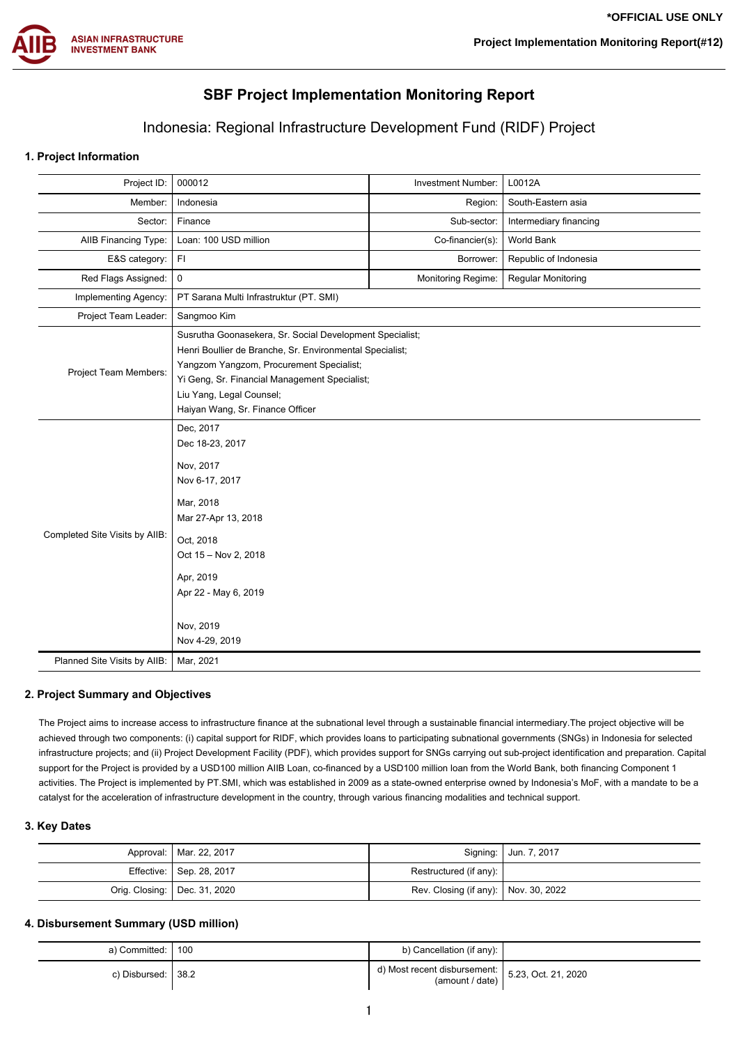

# **SBF Project Implementation Monitoring Report**

## Indonesia: Regional Infrastructure Development Fund (RIDF) Project

### **1. Project Information**

| Project ID:                    | 000012                                                                                                                                                                                                                                                                            | Investment Number:        | L0012A                    |  |  |  |
|--------------------------------|-----------------------------------------------------------------------------------------------------------------------------------------------------------------------------------------------------------------------------------------------------------------------------------|---------------------------|---------------------------|--|--|--|
| Member:                        | Indonesia                                                                                                                                                                                                                                                                         | Region:                   | South-Eastern asia        |  |  |  |
| Sector:                        | Finance                                                                                                                                                                                                                                                                           | Sub-sector:               | Intermediary financing    |  |  |  |
| AIIB Financing Type:           | Loan: 100 USD million                                                                                                                                                                                                                                                             | Co-financier(s):          | World Bank                |  |  |  |
| E&S category:                  | FI                                                                                                                                                                                                                                                                                | Borrower:                 | Republic of Indonesia     |  |  |  |
| Red Flags Assigned:            | $\mathsf 0$                                                                                                                                                                                                                                                                       | <b>Monitoring Regime:</b> | <b>Regular Monitoring</b> |  |  |  |
| Implementing Agency:           | PT Sarana Multi Infrastruktur (PT. SMI)                                                                                                                                                                                                                                           |                           |                           |  |  |  |
| Project Team Leader:           | Sangmoo Kim                                                                                                                                                                                                                                                                       |                           |                           |  |  |  |
| Project Team Members:          | Susrutha Goonasekera, Sr. Social Development Specialist;<br>Henri Boullier de Branche, Sr. Environmental Specialist;<br>Yangzom Yangzom, Procurement Specialist;<br>Yi Geng, Sr. Financial Management Specialist;<br>Liu Yang, Legal Counsel;<br>Haiyan Wang, Sr. Finance Officer |                           |                           |  |  |  |
| Completed Site Visits by AIIB: | Dec, 2017<br>Dec 18-23, 2017<br>Nov, 2017<br>Nov 6-17, 2017<br>Mar, 2018<br>Mar 27-Apr 13, 2018<br>Oct, 2018<br>Oct 15 - Nov 2, 2018<br>Apr, 2019<br>Apr 22 - May 6, 2019<br>Nov, 2019<br>Nov 4-29, 2019                                                                          |                           |                           |  |  |  |
| Planned Site Visits by AIIB:   | Mar, 2021                                                                                                                                                                                                                                                                         |                           |                           |  |  |  |

### **2. Project Summary and Objectives**

The Project aims to increase access to infrastructure finance at the subnational level through a sustainable financial intermediary.The project objective will be achieved through two components: (i) capital support for RIDF, which provides loans to participating subnational governments (SNGs) in Indonesia for selected infrastructure projects; and (ii) Project Development Facility (PDF), which provides support for SNGs carrying out sub-project identification and preparation. Capital support for the Project is provided by a USD100 million AIIB Loan, co-financed by a USD100 million loan from the World Bank, both financing Component 1 activities. The Project is implemented by PT.SMI, which was established in 2009 as a state-owned enterprise owned by Indonesia's MoF, with a mandate to be a catalyst for the acceleration of infrastructure development in the country, through various financing modalities and technical support.

#### **3. Key Dates**

| Approval:   Mar. 22, 2017      |                                        | Signing:   Jun. 7, 2017 |
|--------------------------------|----------------------------------------|-------------------------|
| Effective: Sep. 28, 2017       | Restructured (if any):                 |                         |
| Orig. Closing:   Dec. 31, 2020 | Rev. Closing (if any):   Nov. 30, 2022 |                         |

### **4. Disbursement Summary (USD million)**

| a) Committed: I 100  | b) Cancellation (if any):                                                 |  |
|----------------------|---------------------------------------------------------------------------|--|
| c) Disbursed: I 38.2 | ' d) Most recent disbursement: $ $ 5.23, Oct. 21, 2020<br>(amount / date) |  |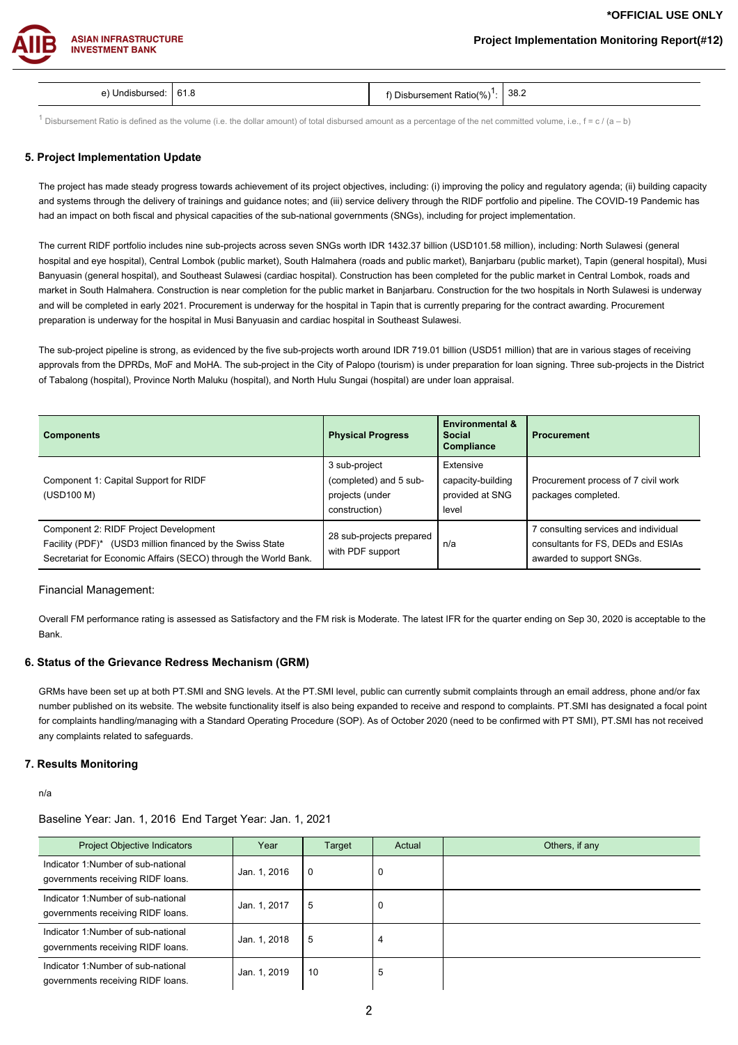### **Project Implementation Monitoring Report(#12)**



| n<br><b>0.0</b><br>$\sim$ $\sim$ | $\overline{\phantom{a}}$<br>∴ Ratio′′<br>eme<br>″∩ | 38.2 |
|----------------------------------|----------------------------------------------------|------|

 $^1$  Disbursement Ratio is defined as the volume (i.e. the dollar amount) of total disbursed amount as a percentage of the net committed volume, i.e., f = c / (a – b)

#### **5. Project Implementation Update**

The project has made steady progress towards achievement of its project objectives, including: (i) improving the policy and regulatory agenda; (ii) building capacity and systems through the delivery of trainings and guidance notes; and (iii) service delivery through the RIDF portfolio and pipeline. The COVID-19 Pandemic has had an impact on both fiscal and physical capacities of the sub-national governments (SNGs), including for project implementation.

The current RIDF portfolio includes nine sub-projects across seven SNGs worth IDR 1432.37 billion (USD101.58 million), including: North Sulawesi (general hospital and eye hospital), Central Lombok (public market), South Halmahera (roads and public market), Banjarbaru (public market), Tapin (general hospital), Musi Banyuasin (general hospital), and Southeast Sulawesi (cardiac hospital). Construction has been completed for the public market in Central Lombok, roads and market in South Halmahera. Construction is near completion for the public market in Banjarbaru. Construction for the two hospitals in North Sulawesi is underway and will be completed in early 2021. Procurement is underway for the hospital in Tapin that is currently preparing for the contract awarding. Procurement preparation is underway for the hospital in Musi Banyuasin and cardiac hospital in Southeast Sulawesi.

The sub-project pipeline is strong, as evidenced by the five sub-projects worth around IDR 719.01 billion (USD51 million) that are in various stages of receiving approvals from the DPRDs, MoF and MoHA. The sub-project in the City of Palopo (tourism) is under preparation for loan signing. Three sub-projects in the District of Tabalong (hospital), Province North Maluku (hospital), and North Hulu Sungai (hospital) are under loan appraisal.

| <b>Components</b>                                                                                                                                                     | <b>Physical Progress</b>                                                    | <b>Environmental &amp;</b><br><b>Social</b><br>Compliance  | <b>Procurement</b>                                                                                     |
|-----------------------------------------------------------------------------------------------------------------------------------------------------------------------|-----------------------------------------------------------------------------|------------------------------------------------------------|--------------------------------------------------------------------------------------------------------|
| Component 1: Capital Support for RIDF<br>(USD100 M)                                                                                                                   | 3 sub-project<br>(completed) and 5 sub-<br>projects (under<br>construction) | Extensive<br>capacity-building<br>provided at SNG<br>level | Procurement process of 7 civil work<br>packages completed.                                             |
| Component 2: RIDF Project Development<br>Facility (PDF)* (USD3 million financed by the Swiss State<br>Secretariat for Economic Affairs (SECO) through the World Bank. | 28 sub-projects prepared<br>with PDF support                                | n/a                                                        | 7 consulting services and individual<br>consultants for FS, DEDs and ESIAs<br>awarded to support SNGs. |

#### Financial Management:

Overall FM performance rating is assessed as Satisfactory and the FM risk is Moderate. The latest IFR for the quarter ending on Sep 30, 2020 is acceptable to the Bank.

#### **6. Status of the Grievance Redress Mechanism (GRM)**

GRMs have been set up at both PT.SMI and SNG levels. At the PT.SMI level, public can currently submit complaints through an email address, phone and/or fax number published on its website. The website functionality itself is also being expanded to receive and respond to complaints. PT.SMI has designated a focal point for complaints handling/managing with a Standard Operating Procedure (SOP). As of October 2020 (need to be confirmed with PT SMI), PT.SMI has not received any complaints related to safeguards.

#### **7. Results Monitoring**

n/a

### Baseline Year: Jan. 1, 2016 End Target Year: Jan. 1, 2021

| <b>Project Objective Indicators</b>                                     | Year         | Target | Actual | Others, if any |
|-------------------------------------------------------------------------|--------------|--------|--------|----------------|
| Indicator 1:Number of sub-national<br>governments receiving RIDF loans. | Jan. 1, 2016 | l 0    | υ      |                |
| Indicator 1:Number of sub-national<br>governments receiving RIDF loans. | Jan. 1, 2017 | -5     | 0      |                |
| Indicator 1:Number of sub-national<br>governments receiving RIDF loans. | Jan. 1, 2018 | 5      | 4      |                |
| Indicator 1:Number of sub-national<br>governments receiving RIDF loans. | Jan. 1, 2019 | 10     | 5      |                |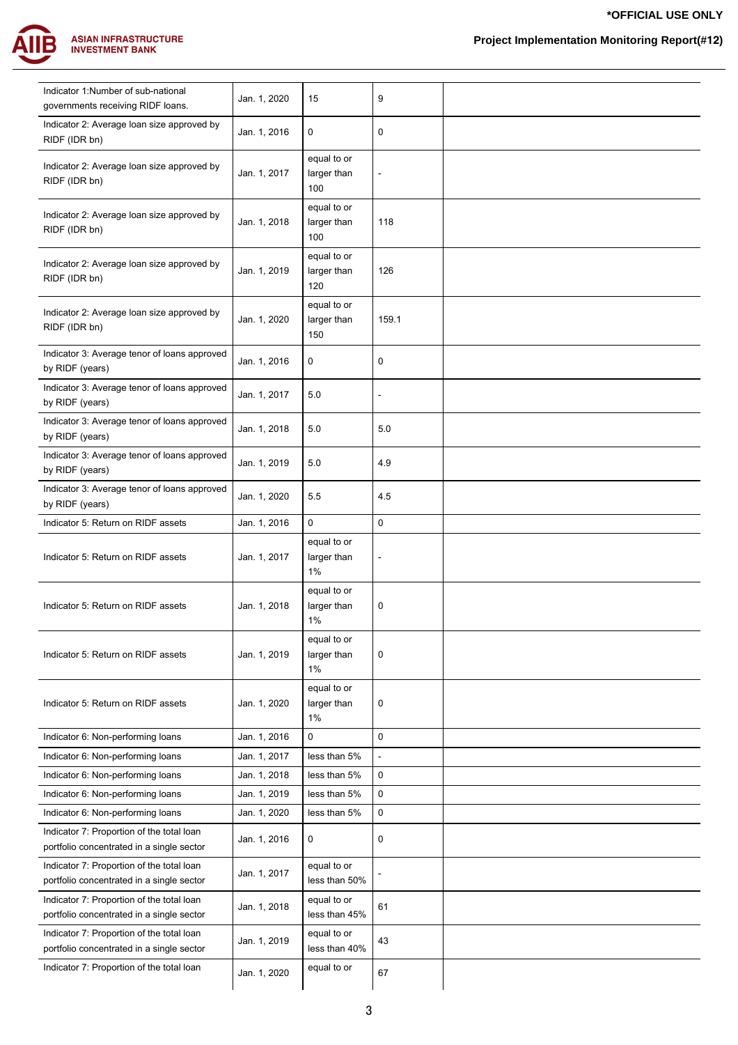

| Indicator 1:Number of sub-national<br>governments receiving RIDF loans.                | Jan. 1, 2020 | 15                                  | 9                        |  |
|----------------------------------------------------------------------------------------|--------------|-------------------------------------|--------------------------|--|
| Indicator 2: Average loan size approved by<br>RIDF (IDR bn)                            | Jan. 1, 2016 | 0                                   | 0                        |  |
| Indicator 2: Average loan size approved by<br>RIDF (IDR bn)                            | Jan. 1, 2017 | equal to or<br>larger than<br>100   | $\overline{a}$           |  |
| Indicator 2: Average loan size approved by<br>RIDF (IDR bn)                            | Jan. 1, 2018 | equal to or<br>larger than<br>100   | 118                      |  |
| Indicator 2: Average loan size approved by<br>RIDF (IDR bn)                            | Jan. 1, 2019 | equal to or<br>larger than<br>120   | 126                      |  |
| Indicator 2: Average loan size approved by<br>RIDF (IDR bn)                            | Jan. 1, 2020 | equal to or<br>larger than<br>150   | 159.1                    |  |
| Indicator 3: Average tenor of loans approved<br>by RIDF (years)                        | Jan. 1, 2016 | 0                                   | 0                        |  |
| Indicator 3: Average tenor of loans approved<br>by RIDF (years)                        | Jan. 1, 2017 | 5.0                                 | ÷                        |  |
| Indicator 3: Average tenor of loans approved<br>by RIDF (years)                        | Jan. 1, 2018 | 5.0                                 | 5.0                      |  |
| Indicator 3: Average tenor of loans approved<br>by RIDF (years)                        | Jan. 1, 2019 | 5.0                                 | 4.9                      |  |
| Indicator 3: Average tenor of loans approved<br>by RIDF (years)                        | Jan. 1, 2020 | 5.5                                 | 4.5                      |  |
| Indicator 5: Return on RIDF assets                                                     | Jan. 1, 2016 | $\mathbf 0$                         | 0                        |  |
| Indicator 5: Return on RIDF assets                                                     | Jan. 1, 2017 | equal to or<br>larger than<br>1%    | $\overline{\phantom{0}}$ |  |
| Indicator 5: Return on RIDF assets                                                     | Jan. 1, 2018 | equal to or<br>larger than<br>$1\%$ | 0                        |  |
| Indicator 5: Return on RIDF assets                                                     | Jan. 1, 2019 | equal to or<br>larger than<br>$1\%$ | 0                        |  |
| Indicator 5: Return on RIDF assets                                                     | Jan. 1, 2020 | equal to or<br>larger than<br>$1\%$ | 0                        |  |
| Indicator 6: Non-performing loans                                                      | Jan. 1, 2016 | $\mathbf 0$                         | 0                        |  |
| Indicator 6: Non-performing loans                                                      | Jan. 1, 2017 | less than 5%                        | ÷,                       |  |
| Indicator 6: Non-performing loans                                                      | Jan. 1, 2018 | less than 5%                        | 0                        |  |
| Indicator 6: Non-performing loans                                                      | Jan. 1, 2019 | less than 5%                        | 0                        |  |
| Indicator 6: Non-performing loans                                                      | Jan. 1, 2020 | less than 5%                        | 0                        |  |
| Indicator 7: Proportion of the total loan                                              |              |                                     |                          |  |
| portfolio concentrated in a single sector                                              | Jan. 1, 2016 | 0                                   | 0                        |  |
| Indicator 7: Proportion of the total loan<br>portfolio concentrated in a single sector | Jan. 1, 2017 | equal to or<br>less than 50%        |                          |  |
| Indicator 7: Proportion of the total loan<br>portfolio concentrated in a single sector | Jan. 1, 2018 | equal to or<br>less than 45%        | 61                       |  |
| Indicator 7: Proportion of the total loan<br>portfolio concentrated in a single sector | Jan. 1, 2019 | equal to or<br>less than 40%        | 43                       |  |
| Indicator 7: Proportion of the total loan                                              | Jan. 1, 2020 | equal to or                         | 67                       |  |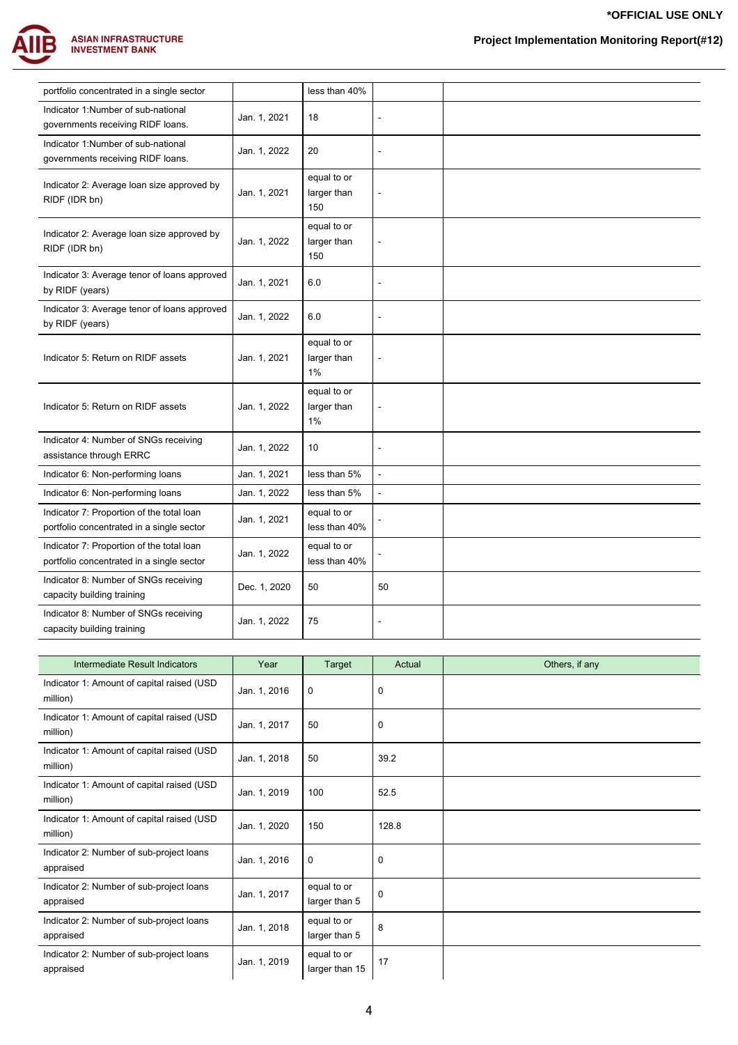

| portfolio concentrated in a single sector                   |              | less than 40% |                      |  |
|-------------------------------------------------------------|--------------|---------------|----------------------|--|
| Indicator 1:Number of sub-national                          | Jan. 1, 2021 | 18            | $\ddot{\phantom{a}}$ |  |
| governments receiving RIDF loans.                           |              |               |                      |  |
| Indicator 1:Number of sub-national                          | Jan. 1, 2022 | 20            |                      |  |
| governments receiving RIDF loans.                           |              |               |                      |  |
| Indicator 2: Average loan size approved by                  |              | equal to or   |                      |  |
| RIDF (IDR bn)                                               | Jan. 1, 2021 | larger than   | $\overline{a}$       |  |
|                                                             |              | 150           |                      |  |
|                                                             |              | equal to or   |                      |  |
| Indicator 2: Average loan size approved by<br>RIDF (IDR bn) | Jan. 1, 2022 | larger than   |                      |  |
|                                                             |              | 150           |                      |  |
| Indicator 3: Average tenor of loans approved                |              |               |                      |  |
| by RIDF (years)                                             | Jan. 1, 2021 | 6.0           | $\blacksquare$       |  |
| Indicator 3: Average tenor of loans approved                |              |               |                      |  |
| by RIDF (years)                                             | Jan. 1, 2022 | 6.0           |                      |  |
|                                                             |              | equal to or   |                      |  |
| Indicator 5: Return on RIDF assets                          | Jan. 1, 2021 | larger than   | $\blacksquare$       |  |
|                                                             |              | $1\%$         |                      |  |
|                                                             |              | equal to or   |                      |  |
| Indicator 5: Return on RIDF assets                          | Jan. 1, 2022 | larger than   |                      |  |
|                                                             |              | $1\%$         |                      |  |
| Indicator 4: Number of SNGs receiving                       |              |               |                      |  |
| assistance through ERRC                                     | Jan. 1, 2022 | 10            | $\blacksquare$       |  |
| Indicator 6: Non-performing loans                           | Jan. 1, 2021 | less than 5%  | $\overline{a}$       |  |
| Indicator 6: Non-performing loans                           | Jan. 1, 2022 | less than 5%  | $\blacksquare$       |  |
| Indicator 7: Proportion of the total loan                   |              | equal to or   |                      |  |
| portfolio concentrated in a single sector                   | Jan. 1, 2021 | less than 40% |                      |  |
| Indicator 7: Proportion of the total loan                   |              | equal to or   |                      |  |
| portfolio concentrated in a single sector                   | Jan. 1, 2022 | less than 40% |                      |  |
| Indicator 8: Number of SNGs receiving                       |              |               |                      |  |
| capacity building training                                  | Dec. 1, 2020 | 50            | 50                   |  |
| Indicator 8: Number of SNGs receiving                       |              |               |                      |  |
| capacity building training                                  | Jan. 1, 2022 | 75            | $\blacksquare$       |  |
|                                                             |              |               |                      |  |

| Intermediate Result Indicators                         | Year         | Target                        | Actual | Others, if any |
|--------------------------------------------------------|--------------|-------------------------------|--------|----------------|
| Indicator 1: Amount of capital raised (USD<br>million) | Jan. 1, 2016 | $\mathbf 0$                   | 0      |                |
| Indicator 1: Amount of capital raised (USD<br>million) | Jan. 1, 2017 | 50                            | 0      |                |
| Indicator 1: Amount of capital raised (USD<br>million) | Jan. 1, 2018 | 50                            | 39.2   |                |
| Indicator 1: Amount of capital raised (USD<br>million) | Jan. 1, 2019 | 100                           | 52.5   |                |
| Indicator 1: Amount of capital raised (USD<br>million) | Jan. 1, 2020 | 150                           | 128.8  |                |
| Indicator 2: Number of sub-project loans<br>appraised  | Jan. 1, 2016 | $\mathbf 0$                   | 0      |                |
| Indicator 2: Number of sub-project loans<br>appraised  | Jan. 1, 2017 | equal to or<br>larger than 5  | 0      |                |
| Indicator 2: Number of sub-project loans<br>appraised  | Jan. 1, 2018 | equal to or<br>larger than 5  | 8      |                |
| Indicator 2: Number of sub-project loans<br>appraised  | Jan. 1, 2019 | equal to or<br>larger than 15 | 17     |                |